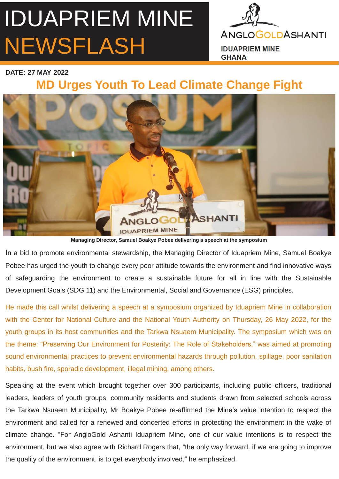## IDUAPRIEM MINE NEWSFLASH



**IDUAPRIEM MINE GHANA** 

**DATE: 27 MAY 2022** 

## **MD Urges Youth To Lead Climate Change Fight**



**Managing Director, Samuel Boakye Pobee delivering a speech at the symposium**

**I**n a bid to promote environmental stewardship, the Managing Director of Iduapriem Mine, Samuel Boakye Pobee has urged the youth to change every poor attitude towards the environment and find innovative ways of safeguarding the environment to create a sustainable future for all in line with the Sustainable Development Goals (SDG 11) and the Environmental, Social and Governance (ESG) principles.

He made this call whilst delivering a speech at a symposium organized by Iduapriem Mine in collaboration with the Center for National Culture and the National Youth Authority on Thursday, 26 May 2022, for the youth groups in its host communities and the Tarkwa Nsuaem Municipality. The symposium which was on the theme: "Preserving Our Environment for Posterity: The Role of Stakeholders," was aimed at promoting sound environmental practices to prevent environmental hazards through pollution, spillage, poor sanitation habits, bush fire, sporadic development, illegal mining, among others.

Speaking at the event which brought together over 300 participants, including public officers, traditional leaders, leaders of youth groups, community residents and students drawn from selected schools across the Tarkwa Nsuaem Municipality, Mr Boakye Pobee re-affirmed the Mine's value intention to respect the environment and called for a renewed and concerted efforts in protecting the environment in the wake of climate change. "For AngloGold Ashanti Iduapriem Mine, one of our value intentions is to respect the environment, but we also agree with Richard Rogers that, "the only way forward, if we are going to improve the quality of the environment, is to get everybody involved," he emphasized.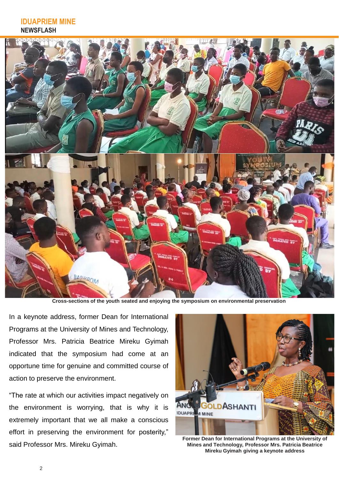## **IDUAPRIEM MINE NEWSFLASH**



**Cross-sections of the youth seated and enjoying the symposium on environmental preservation**

In a keynote address, former Dean for International Programs at the University of Mines and Technology, Professor Mrs. Patricia Beatrice Mireku Gyimah indicated that the symposium had come at an opportune time for genuine and committed course of action to preserve the environment.

"The rate at which our activities impact negatively on the environment is worrying, that is why it is extremely important that we all make a conscious effort in preserving the environment for posterity," said Professor Mrs. Mireku Gyimah.



**Former Dean for International Programs at the University of Mines and Technology, Professor Mrs. Patricia Beatrice Mireku Gyimah giving a keynote address**